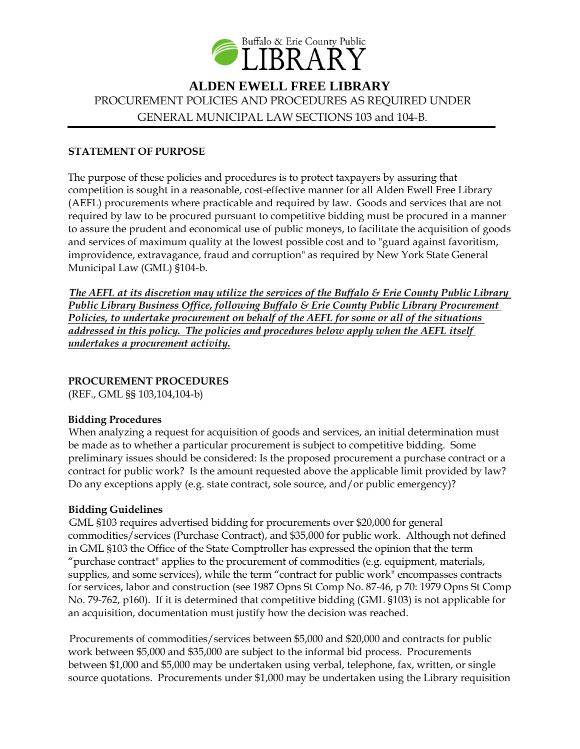

# **ALDEN EWELL FREE LIBRARY** PROCUREMENT POLICIES AND PROCEDURES AS REQUIRED UNDER GENERAL MUNICIPAL LAW SECTIONS 103 and 104-B.

#### **STATEMENT OF PURPOSE**

The purpose of these policies and procedures is to protect taxpayers by assuring that competition is sought in a reasonable, cost-effective manner for all Alden Ewell Free Library (AEFL) procurements where practicable and required by law. Goods and services that are not required by law to be procured pursuant to competitive bidding must be procured in a manner to assure the prudent and economical use of public moneys, to facilitate the acquisition of goods and services of maximum quality at the lowest possible cost and to "guard against favoritism, improvidence, extravagance, fraud and corruption" as required by New York State General Municipal Law (GML) §104-b.

*The AEFL at its discretion may utilize the services of the Buffalo & Erie County Public Library Public Library Business Office, following Buffalo & Erie County Public Library Procurement Policies, to undertake procurement on behalf of the AEFL for some or all of the situations addressed in this policy. The policies and procedures below apply when the AEFL itself undertakes a procurement activity.*

#### **PROCUREMENT PROCEDURES**

(REF., GML §§ 103,104,104-b)

#### **Bidding Procedures**

When analyzing a request for acquisition of goods and services, an initial determination must be made as to whether a particular procurement is subject to competitive bidding. Some preliminary issues should be considered: Is the proposed procurement a purchase contract or a contract for public work? Is the amount requested above the applicable limit provided by law? Do any exceptions apply (e.g. state contract, sole source, and/or public emergency)?

#### **Bidding Guidelines**

GML §103 requires advertised bidding for procurements over \$20,000 for general commodities/services (Purchase Contract), and \$35,000 for public work. Although not defined in GML §103 the Office of the State Comptroller has expressed the opinion that the term "purchase contract" applies to the procurement of commodities (e.g. equipment, materials, supplies, and some services), while the term "contract for public work" encompasses contracts for services, labor and construction (see 1987 Opns St Comp No. 87-46, p 70: 1979 Opns St Comp No. 79-762, p160). If it is determined that competitive bidding (GML §103) is not applicable for an acquisition, documentation must justify how the decision was reached.

Procurements of commodities/services between \$5,000 and \$20,000 and contracts for public work between \$5,000 and \$35,000 are subject to the informal bid process. Procurements between \$1,000 and \$5,000 may be undertaken using verbal, telephone, fax, written, or single source quotations. Procurements under \$1,000 may be undertaken using the Library requisition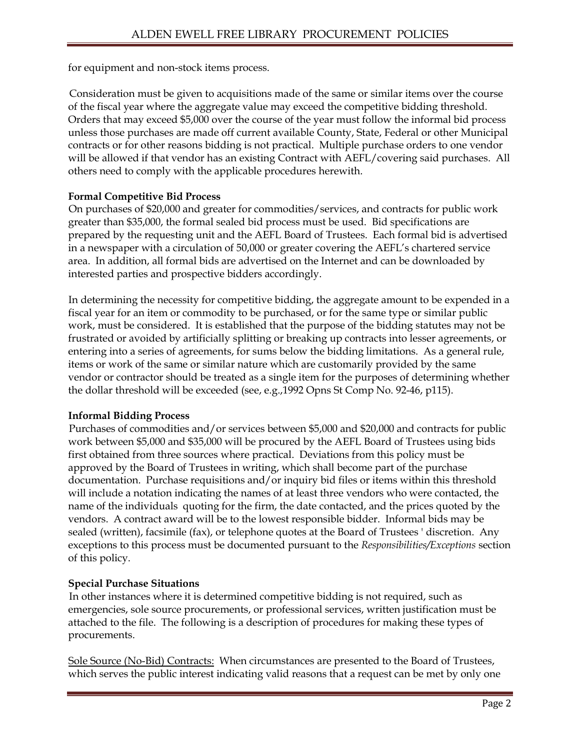for equipment and non-stock items process.

Consideration must be given to acquisitions made of the same or similar items over the course of the fiscal year where the aggregate value may exceed the competitive bidding threshold. Orders that may exceed \$5,000 over the course of the year must follow the informal bid process unless those purchases are made off current available County, State, Federal or other Municipal contracts or for other reasons bidding is not practical. Multiple purchase orders to one vendor will be allowed if that vendor has an existing Contract with AEFL/covering said purchases. All others need to comply with the applicable procedures herewith.

## **Formal Competitive Bid Process**

On purchases of \$20,000 and greater for commodities/services, and contracts for public work greater than \$35,000, the formal sealed bid process must be used. Bid specifications are prepared by the requesting unit and the AEFL Board of Trustees. Each formal bid is advertised in a newspaper with a circulation of 50,000 or greater covering the AEFL's chartered service area. In addition, all formal bids are advertised on the Internet and can be downloaded by interested parties and prospective bidders accordingly.

In determining the necessity for competitive bidding, the aggregate amount to be expended in a fiscal year for an item or commodity to be purchased, or for the same type or similar public work, must be considered. It is established that the purpose of the bidding statutes may not be frustrated or avoided by artificially splitting or breaking up contracts into lesser agreements, or entering into a series of agreements, for sums below the bidding limitations. As a general rule, items or work of the same or similar nature which are customarily provided by the same vendor or contractor should be treated as a single item for the purposes of determining whether the dollar threshold will be exceeded (see, e.g.,1992 Opns St Comp No. 92-46, p115).

# **Informal Bidding Process**

Purchases of commodities and/or services between \$5,000 and \$20,000 and contracts for public work between \$5,000 and \$35,000 will be procured by the AEFL Board of Trustees using bids first obtained from three sources where practical. Deviations from this policy must be approved by the Board of Trustees in writing, which shall become part of the purchase documentation. Purchase requisitions and/or inquiry bid files or items within this threshold will include a notation indicating the names of at least three vendors who were contacted, the name of the individuals quoting for the firm, the date contacted, and the prices quoted by the vendors. A contract award will be to the lowest responsible bidder. Informal bids may be sealed (written), facsimile (fax), or telephone quotes at the Board of Trustees ' discretion. Any exceptions to this process must be documented pursuant to the *Responsibilities/Exceptions* section of this policy.

#### **Special Purchase Situations**

In other instances where it is determined competitive bidding is not required, such as emergencies, sole source procurements, or professional services, written justification must be attached to the file. The following is a description of procedures for making these types of procurements.

Sole Source (No-Bid) Contracts: When circumstances are presented to the Board of Trustees, which serves the public interest indicating valid reasons that a request can be met by only one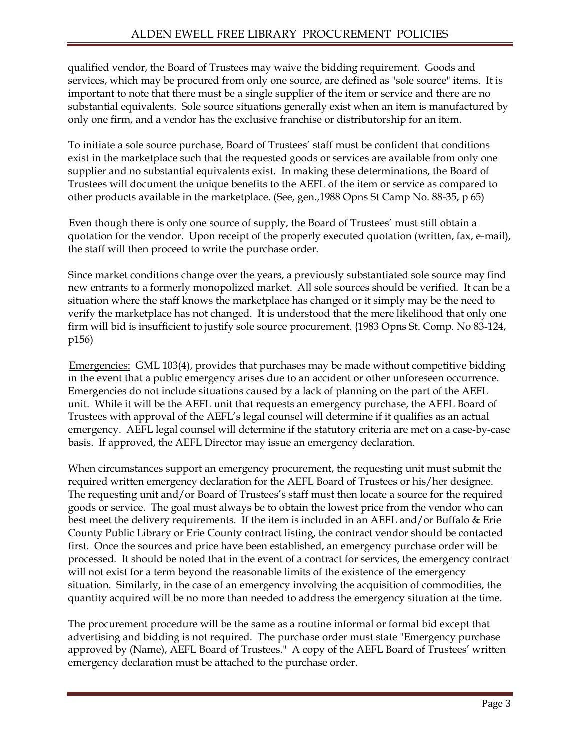qualified vendor, the Board of Trustees may waive the bidding requirement. Goods and services, which may be procured from only one source, are defined as "sole source" items. It is important to note that there must be a single supplier of the item or service and there are no substantial equivalents. Sole source situations generally exist when an item is manufactured by only one firm, and a vendor has the exclusive franchise or distributorship for an item.

To initiate a sole source purchase, Board of Trustees' staff must be confident that conditions exist in the marketplace such that the requested goods or services are available from only one supplier and no substantial equivalents exist. In making these determinations, the Board of Trustees will document the unique benefits to the AEFL of the item or service as compared to other products available in the marketplace. (See, gen.,1988 Opns St Camp No. 88-35, p 65)

Even though there is only one source of supply, the Board of Trustees' must still obtain a quotation for the vendor. Upon receipt of the properly executed quotation (written, fax, e-mail), the staff will then proceed to write the purchase order.

Since market conditions change over the years, a previously substantiated sole source may find new entrants to a formerly monopolized market. All sole sources should be verified. It can be a situation where the staff knows the marketplace has changed or it simply may be the need to verify the marketplace has not changed. It is understood that the mere likelihood that only one firm will bid is insufficient to justify sole source procurement. {1983 Opns St. Comp. No 83-124, p156)

Emergencies: GML 103(4), provides that purchases may be made without competitive bidding in the event that a public emergency arises due to an accident or other unforeseen occurrence. Emergencies do not include situations caused by a lack of planning on the part of the AEFL unit. While it will be the AEFL unit that requests an emergency purchase, the AEFL Board of Trustees with approval of the AEFL's legal counsel will determine if it qualifies as an actual emergency. AEFL legal counsel will determine if the statutory criteria are met on a case-by-case basis. If approved, the AEFL Director may issue an emergency declaration.

When circumstances support an emergency procurement, the requesting unit must submit the required written emergency declaration for the AEFL Board of Trustees or his/her designee. The requesting unit and/or Board of Trustees's staff must then locate a source for the required goods or service. The goal must always be to obtain the lowest price from the vendor who can best meet the delivery requirements. If the item is included in an AEFL and/or Buffalo & Erie County Public Library or Erie County contract listing, the contract vendor should be contacted first. Once the sources and price have been established, an emergency purchase order will be processed. It should be noted that in the event of a contract for services, the emergency contract will not exist for a term beyond the reasonable limits of the existence of the emergency situation. Similarly, in the case of an emergency involving the acquisition of commodities, the quantity acquired will be no more than needed to address the emergency situation at the time.

The procurement procedure will be the same as a routine informal or formal bid except that advertising and bidding is not required. The purchase order must state "Emergency purchase approved by (Name), AEFL Board of Trustees." A copy of the AEFL Board of Trustees' written emergency declaration must be attached to the purchase order.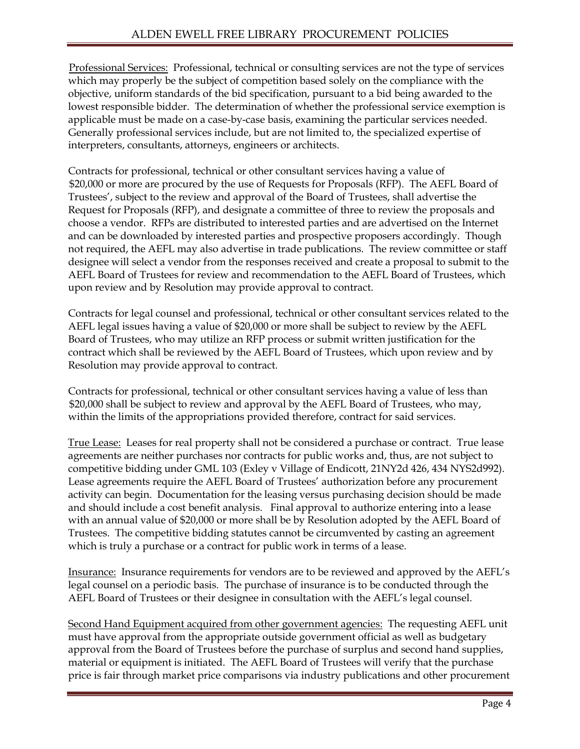Professional Services: Professional, technical or consulting services are not the type of services which may properly be the subject of competition based solely on the compliance with the objective, uniform standards of the bid specification, pursuant to a bid being awarded to the lowest responsible bidder. The determination of whether the professional service exemption is applicable must be made on a case-by-case basis, examining the particular services needed. Generally professional services include, but are not limited to, the specialized expertise of interpreters, consultants, attorneys, engineers or architects.

Contracts for professional, technical or other consultant services having a value of \$20,000 or more are procured by the use of Requests for Proposals (RFP). The AEFL Board of Trustees', subject to the review and approval of the Board of Trustees, shall advertise the Request for Proposals (RFP), and designate a committee of three to review the proposals and choose a vendor. RFPs are distributed to interested parties and are advertised on the Internet and can be downloaded by interested parties and prospective proposers accordingly. Though not required, the AEFL may also advertise in trade publications. The review committee or staff designee will select a vendor from the responses received and create a proposal to submit to the AEFL Board of Trustees for review and recommendation to the AEFL Board of Trustees, which upon review and by Resolution may provide approval to contract.

Contracts for legal counsel and professional, technical or other consultant services related to the AEFL legal issues having a value of \$20,000 or more shall be subject to review by the AEFL Board of Trustees, who may utilize an RFP process or submit written justification for the contract which shall be reviewed by the AEFL Board of Trustees, which upon review and by Resolution may provide approval to contract.

Contracts for professional, technical or other consultant services having a value of less than \$20,000 shall be subject to review and approval by the AEFL Board of Trustees, who may, within the limits of the appropriations provided therefore, contract for said services.

True Lease: Leases for real property shall not be considered a purchase or contract. True lease agreements are neither purchases nor contracts for public works and, thus, are not subject to competitive bidding under GML 103 (Exley v Village of Endicott, 21NY2d 426, 434 NYS2d992). Lease agreements require the AEFL Board of Trustees' authorization before any procurement activity can begin. Documentation for the leasing versus purchasing decision should be made and should include a cost benefit analysis. Final approval to authorize entering into a lease with an annual value of \$20,000 or more shall be by Resolution adopted by the AEFL Board of Trustees. The competitive bidding statutes cannot be circumvented by casting an agreement which is truly a purchase or a contract for public work in terms of a lease.

Insurance: Insurance requirements for vendors are to be reviewed and approved by the AEFL's legal counsel on a periodic basis. The purchase of insurance is to be conducted through the AEFL Board of Trustees or their designee in consultation with the AEFL's legal counsel.

Second Hand Equipment acquired from other government agencies: The requesting AEFL unit must have approval from the appropriate outside government official as well as budgetary approval from the Board of Trustees before the purchase of surplus and second hand supplies, material or equipment is initiated. The AEFL Board of Trustees will verify that the purchase price is fair through market price comparisons via industry publications and other procurement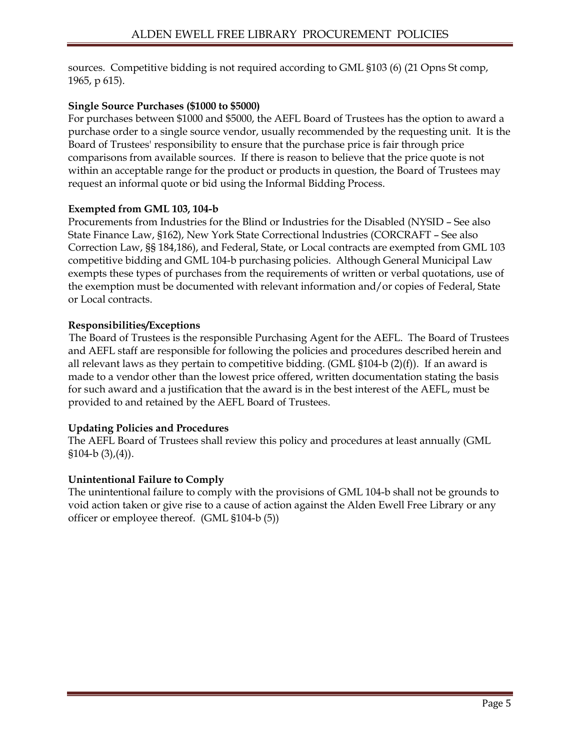sources. Competitive bidding is not required according to GML §103 (6) (21 Opns St comp, 1965, p 615).

## **Single Source Purchases (\$1000 to \$5000)**

For purchases between \$1000 and \$5000, the AEFL Board of Trustees has the option to award a purchase order to a single source vendor, usually recommended by the requesting unit. It is the Board of Trustees' responsibility to ensure that the purchase price is fair through price comparisons from available sources. If there is reason to believe that the price quote is not within an acceptable range for the product or products in question, the Board of Trustees may request an informal quote or bid using the Informal Bidding Process.

#### **Exempted from GML 103, 104-b**

Procurements from Industries for the Blind or Industries for the Disabled (NYSID – See also State Finance Law, §162), New York State Correctional lndustries (CORCRAFT – See also Correction Law, §§ 184,186), and Federal, State, or Local contracts are exempted from GML 103 competitive bidding and GML 104-b purchasing policies. Although General Municipal Law exempts these types of purchases from the requirements of written or verbal quotations, use of the exemption must be documented with relevant information and/or copies of Federal, State or Local contracts.

#### **Responsibilities/Exceptions**

The Board of Trustees is the responsible Purchasing Agent for the AEFL. The Board of Trustees and AEFL staff are responsible for following the policies and procedures described herein and all relevant laws as they pertain to competitive bidding. (GML §104-b (2)(f)). If an award is made to a vendor other than the lowest price offered, written documentation stating the basis for such award and a justification that the award is in the best interest of the AEFL, must be provided to and retained by the AEFL Board of Trustees.

#### **Updating Policies and Procedures**

The AEFL Board of Trustees shall review this policy and procedures at least annually (GML  $$104-b (3),(4)$ ).

#### **Unintentional Failure to Comply**

The unintentional failure to comply with the provisions of GML 104-b shall not be grounds to void action taken or give rise to a cause of action against the Alden Ewell Free Library or any officer or employee thereof. (GML §104-b (5))